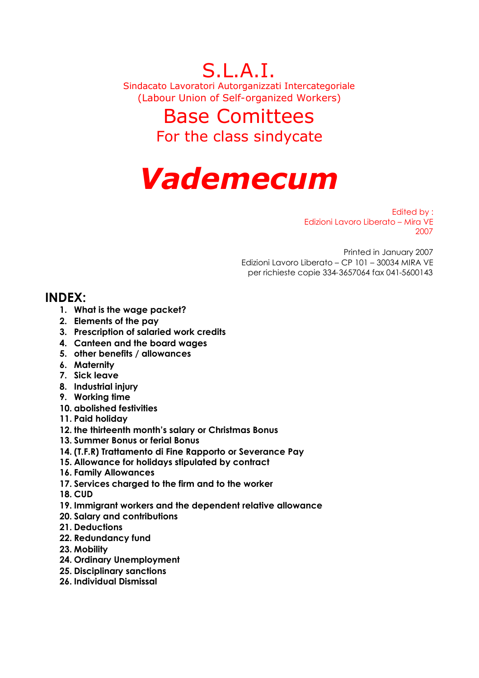S.L.A.I. Sindacato Lavoratori Autorganizzati Intercategoriale (Labour Union of Self-organized Workers)

# Base Comittees For the class sindycate

# *Vademecum*

Edited by : Edizioni Lavoro Liberato – Mira VE 2007

Printed in January 2007 Edizioni Lavoro Liberato – CP 101 – 30034 MIRA VE per richieste copie 334-3657064 fax 041-5600143

# **INDEX:**

- **1. What is the wage packet?**
- **2. Elements of the pay**
- **3. Prescription of salaried work credits**
- **4. Canteen and the board wages**
- **5. other benefits / allowances**
- **6. Maternity**
- **7. Sick leave**
- **8. Industrial injury**
- **9. Working time**
- **10. abolished festivities**
- **11. Paid holiday**
- **12. the thirteenth month's salary or Christmas Bonus**
- **13. Summer Bonus or ferial Bonus**
- **14. (T.F.R) Trattamento di Fine Rapporto or Severance Pay**
- **15. Allowance for holidays stipulated by contract**
- **16. Family Allowances**
- **17. Services charged to the firm and to the worker**
- **18. CUD**
- **19. Immigrant workers and the dependent relative allowance**
- **20. Salary and contributions**
- **21. Deductions**
- **22. Redundancy fund**
- **23. Mobility**
- **24. Ordinary Unemployment**
- **25. Disciplinary sanctions**
- **26. Individual Dismissal**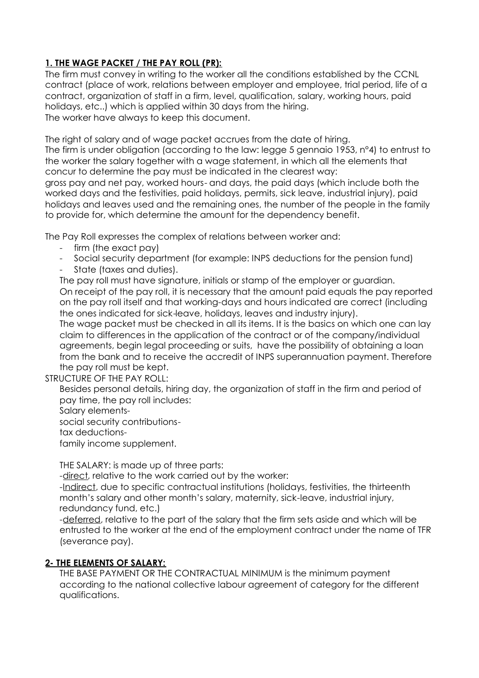# **1. THE WAGE PACKET / THE PAY ROLL (PR):**

The firm must convey in writing to the worker all the conditions established by the CCNL contract (place of work, relations between employer and employee, trial period, life of a contract, organization of staff in a firm, level, qualification, salary, working hours, paid holidays, etc..) which is applied within 30 days from the hiring. The worker have always to keep this document.

The right of salary and of wage packet accrues from the date of hiring. The firm is under obligation (according to the law: legge 5 gennaio 1953, n°4) to entrust to the worker the salary together with a wage statement, in which all the elements that concur to determine the pay must be indicated in the clearest way: gross pay and net pay, worked hours- and days, the paid days (which include both the worked days and the festivities, paid holidays, permits, sick leave, industrial injury), paid

holidays and leaves used and the remaining ones, the number of the people in the family to provide for, which determine the amount for the dependency benefit.

The Pay Roll expresses the complex of relations between worker and:

- firm (the exact pay)
- Social security department (for example: INPS deductions for the pension fund)
- State (taxes and duties).

The pay roll must have signature, initials or stamp of the employer or guardian. On receipt of the pay roll, it is necessary that the amount paid equals the pay reported on the pay roll itself and that working-days and hours indicated are correct (including the ones indicated for sick-leave, holidays, leaves and industry injury).

The wage packet must be checked in all its items. It is the basics on which one can lay claim to differences in the application of the contract or of the company/individual agreements, begin legal proceeding or suits, have the possibility of obtaining a loan from the bank and to receive the accredit of INPS superannuation payment. Therefore the pay roll must be kept.

STRUCTURE OF THE PAY ROLL:

Besides personal details, hiring day, the organization of staff in the firm and period of pay time, the pay roll includes:

Salary elements-

social security contributions-

tax deductions-

family income supplement.

THE SALARY: is made up of three parts:

-direct, relative to the work carried out by the worker:

-Indirect, due to specific contractual institutions (holidays, festivities, the thirteenth month's salary and other month's salary, maternity, sick-leave, industrial injury, redundancy fund, etc.)

-deferred, relative to the part of the salary that the firm sets aside and which will be entrusted to the worker at the end of the employment contract under the name of TFR (severance pay).

## **2- THE ELEMENTS OF SALARY:**

THE BASE PAYMENT OR THE CONTRACTUAL MINIMUM is the minimum payment according to the national collective labour agreement of category for the different qualifications.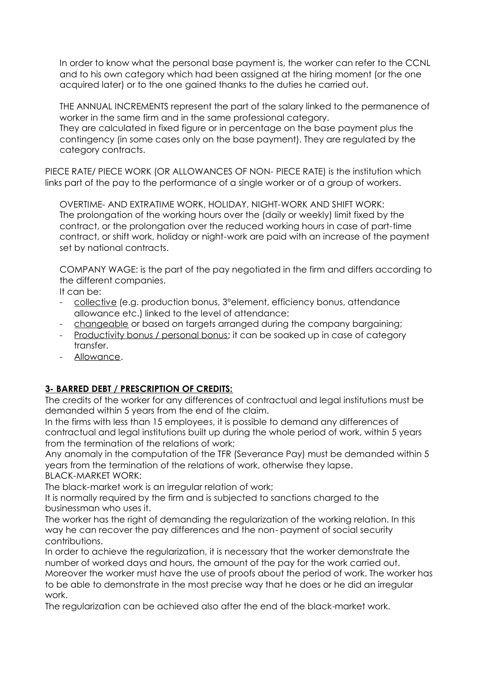In order to know what the personal base payment is, the worker can refer to the CCNL and to his own category which had been assigned at the hiring moment (or the one acquired later) or to the one gained thanks to the duties he carried out.

THE ANNUAL INCREMENTS represent the part of the salary linked to the permanence of worker in the same firm and in the same professional category. They are calculated in fixed figure or in percentage on the base payment plus the contingency (in some cases only on the base payment). They are regulated by the category contracts.

PIECE RATE/ PIECE WORK (OR ALLOWANCES OF NON- PIECE RATE) is the institution which links part of the pay to the performance of a single worker or of a group of workers.

OVERTIME- AND EXTRATIME WORK, HOLIDAY, NIGHT-WORK AND SHIFT WORK: The prolongation of the working hours over the (daily or weekly) limit fixed by the contract, or the prolongation over the reduced working hours in case of part-time contract, or shift work, holiday or night-work are paid with an increase of the payment set by national contracts.

COMPANY WAGE: is the part of the pay negotiated in the firm and differs according to the different companies.

It can be:

- collective (e.g. production bonus, 3°element, efficiency bonus, attendance allowance etc.) linked to the level of attendance:
- changeable or based on targets arranged during the company bargaining;
- Productivity bonus / personal bonus; it can be soaked up in case of category transfer.
- Allowance.

# **3- BARRED DEBT / PRESCRIPTION OF CREDITS:**

The credits of the worker for any differences of contractual and legal institutions must be demanded within 5 years from the end of the claim.

In the firms with less than 15 employees, it is possible to demand any differences of contractual and legal institutions built up during the whole period of work, within 5 years from the termination of the relations of work;

Any anomaly in the computation of the TFR (Severance Pay) must be demanded within 5 years from the termination of the relations of work, otherwise they lapse. BLACK-MARKET WORK:

The black-market work is an irregular relation of work;

It is normally required by the firm and is subjected to sanctions charged to the businessman who uses it.

The worker has the right of demanding the regularization of the working relation. In this way he can recover the pay differences and the non- payment of social security contributions.

In order to achieve the regularization, it is necessary that the worker demonstrate the number of worked days and hours, the amount of the pay for the work carried out. Moreover the worker must have the use of proofs about the period of work. The worker has to be able to demonstrate in the most precise way that he does or he did an irregular work.

The regularization can be achieved also after the end of the black-market work.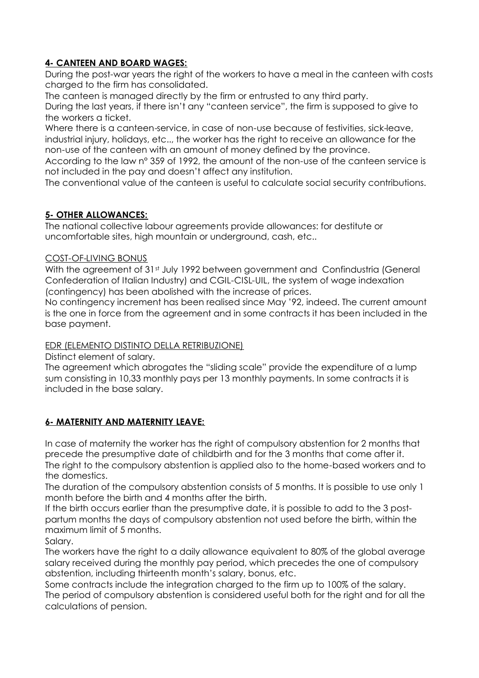## **4- CANTEEN AND BOARD WAGES:**

During the post-war years the right of the workers to have a meal in the canteen with costs charged to the firm has consolidated.

The canteen is managed directly by the firm or entrusted to any third party.

During the last years, if there isn't any "canteen service", the firm is supposed to give to the workers a ticket.

Where there is a canteen-service, in case of non-use because of festivities, sick-leave, industrial injury, holidays, etc.., the worker has the right to receive an allowance for the non-use of the canteen with an amount of money defined by the province.

According to the law n° 359 of 1992, the amount of the non-use of the canteen service is not included in the pay and doesn't affect any institution.

The conventional value of the canteen is useful to calculate social security contributions.

# **5- OTHER ALLOWANCES:**

The national collective labour agreements provide allowances: for destitute or uncomfortable sites, high mountain or underground, cash, etc..

#### COST-OF-LIVING BONUS

With the agreement of 31<sup>st</sup> July 1992 between government and Confindustria (General Confederation of Italian Industry) and CGIL-CISL-UIL, the system of wage indexation (contingency) has been abolished with the increase of prices.

No contingency increment has been realised since May '92, indeed. The current amount is the one in force from the agreement and in some contracts it has been included in the base payment.

## EDR (ELEMENTO DISTINTO DELLA RETRIBUZIONE)

Distinct element of salary.

The agreement which abrogates the "sliding scale" provide the expenditure of a lump sum consisting in 10,33 monthly pays per 13 monthly payments. In some contracts it is included in the base salary.

## **6- MATERNITY AND MATERNITY LEAVE:**

In case of maternity the worker has the right of compulsory abstention for 2 months that precede the presumptive date of childbirth and for the 3 months that come after it. The right to the compulsory abstention is applied also to the home-based workers and to the domestics.

The duration of the compulsory abstention consists of 5 months. It is possible to use only 1 month before the birth and 4 months after the birth.

If the birth occurs earlier than the presumptive date, it is possible to add to the 3 postpartum months the days of compulsory abstention not used before the birth, within the maximum limit of 5 months.

Salary.

The workers have the right to a daily allowance equivalent to 80% of the global average salary received during the monthly pay period, which precedes the one of compulsory abstention, including thirteenth month's salary, bonus, etc.

Some contracts include the integration charged to the firm up to 100% of the salary. The period of compulsory abstention is considered useful both for the right and for all the calculations of pension.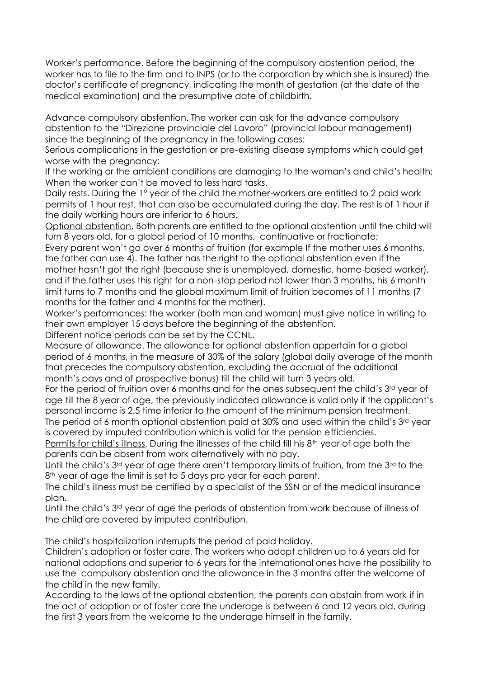Worker's performance. Before the beginning of the compulsory abstention period, the worker has to file to the firm and to INPS (or to the corporation by which she is insured) the doctor's certificate of pregnancy, indicating the month of gestation (at the date of the medical examination) and the presumptive date of childbirth.

Advance compulsory abstention. The worker can ask for the advance compulsory abstention to the "Direzione provinciale del Lavoro" (provincial labour management) since the beginning of the pregnancy in the following cases:

Serious complications in the gestation or pre-existing disease symptoms which could get worse with the pregnancy:

If the working or the ambient conditions are damaging to the woman's and child's health; When the worker can't be moved to less hard tasks.

Daily rests. During the 1° year of the child the mother-workers are entitled to 2 paid work permits of 1 hour rest, that can also be accumulated during the day. The rest is of 1 hour if the daily working hours are inferior to 6 hours.

Optional abstention. Both parents are entitled to the optional abstention until the child will turn 8 years old, for a global period of 10 months, continuative or fractionate;

Every parent won't go over 6 months of fruition (for example If the mother uses 6 months, the father can use 4). The father has the right to the optional abstention even if the mother hasn't got the right (because she is unemployed, domestic, home-based worker), and if the father uses this right for a non-stop period not lower than 3 months, his 6 month limit turns to 7 months and the global maximum limit of fruition becomes of 11 months (7 months for the father and 4 months for the mother).

Worker's performances: the worker (both man and woman) must give notice in writing to their own employer 15 days before the beginning of the abstention.

Different notice periods can be set by the CCNL.

Measure of allowance. The allowance for optional abstention appertain for a global period of 6 months, in the measure of 30% of the salary (global daily average of the month that precedes the compulsory abstention, excluding the accrual of the additional month's pays and of prospective bonus) till the child will turn 3 years old.

For the period of fruition over 6 months and for the ones subsequent the child's 3rd year of age till the 8 year of age, the previously indicated allowance is valid only if the applicant's personal income is 2.5 time inferior to the amount of the minimum pension treatment.

The period of 6 month optional abstention paid at 30% and used within the child's 3<sup>rd</sup> year is covered by imputed contribution which is valid for the pension efficiencies.

Permits for child's illness. During the illnesses of the child till his 8<sup>th</sup> year of age both the parents can be absent from work alternatively with no pay.

Until the child's  $3<sup>rd</sup>$  year of age there aren't temporary limits of fruition, from the  $3<sup>rd</sup>$  to the 8<sup>th</sup> year of age the limit is set to 5 days pro year for each parent.

The child's illness must be certified by a specialist of the SSN or of the medical insurance plan.

Until the child's 3<sup>rd</sup> year of age the periods of abstention from work because of illness of the child are covered by imputed contribution.

The child's hospitalization interrupts the period of paid holiday.

Children's adoption or foster care. The workers who adopt children up to 6 years old for national adoptions and superior to 6 years for the international ones have the possibility to use the compulsory abstention and the allowance in the 3 months after the welcome of the child in the new family.

According to the laws of the optional abstention, the parents can abstain from work if in the act of adoption or of foster care the underage is between 6 and 12 years old, during the first 3 years from the welcome to the underage himself in the family.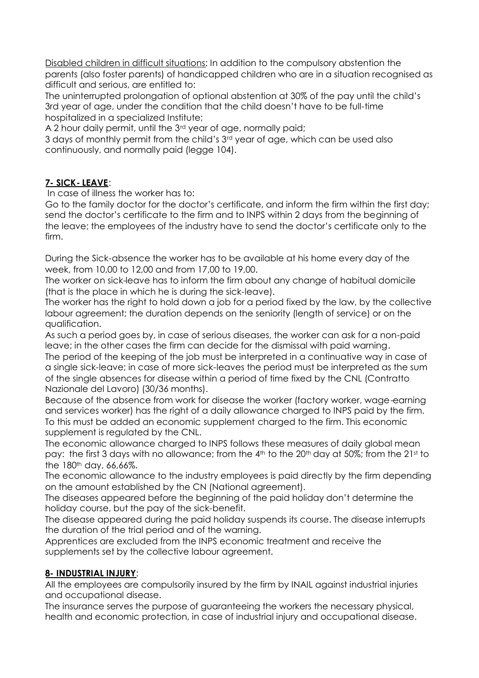Disabled children in difficult situations: In addition to the compulsory abstention the parents (also foster parents) of handicapped children who are in a situation recognised as difficult and serious, are entitled to:

The uninterrupted prolongation of optional abstention at 30% of the pay until the child's 3rd year of age, under the condition that the child doesn't have to be full-time hospitalized in a specialized Institute;

A 2 hour daily permit, until the 3<sup>rd</sup> year of age, normally paid;

3 days of monthly permit from the child's 3<sup>rd</sup> year of age, which can be used also continuously, and normally paid (legge 104).

# **7- SICK- LEAVE**:

In case of illness the worker has to:

Go to the family doctor for the doctor's certificate, and inform the firm within the first day; send the doctor's certificate to the firm and to INPS within 2 days from the beginning of the leave; the employees of the industry have to send the doctor's certificate only to the firm.

During the Sick-absence the worker has to be available at his home every day of the week, from 10,00 to 12,00 and from 17,00 to 19,00.

The worker on sick-leave has to inform the firm about any change of habitual domicile (that is the place in which he is during the sick-leave).

The worker has the right to hold down a job for a period fixed by the law, by the collective labour agreement; the duration depends on the seniority (length of service) or on the qualification.

As such a period goes by, in case of serious diseases, the worker can ask for a non-paid leave; in the other cases the firm can decide for the dismissal with paid warning.

The period of the keeping of the job must be interpreted in a continuative way in case of a single sick-leave; in case of more sick-leaves the period must be interpreted as the sum of the single absences for disease within a period of time fixed by the CNL (Contratto Nazionale del Lavoro) (30/36 months).

Because of the absence from work for disease the worker (factory worker, wage-earning and services worker) has the right of a daily allowance charged to INPS paid by the firm. To this must be added an economic supplement charged to the firm. This economic supplement is regulated by the CNL.

The economic allowance charged to INPS follows these measures of daily global mean pay: the first 3 days with no allowance; from the 4<sup>th</sup> to the 20<sup>th</sup> day at 50%; from the 21<sup>st</sup> to the 180<sup>th</sup> day, 66,66%.

The economic allowance to the industry employees is paid directly by the firm depending on the amount established by the CN (National agreement).

The diseases appeared before the beginning of the paid holiday don't determine the holiday course, but the pay of the sick-benefit.

The disease appeared during the paid holiday suspends its course. The disease interrupts the duration of the trial period and of the warning.

Apprentices are excluded from the INPS economic treatment and receive the supplements set by the collective labour agreement.

#### **8- INDUSTRIAL INJURY**:

All the employees are compulsorily insured by the firm by INAIL against industrial injuries and occupational disease.

The insurance serves the purpose of guaranteeing the workers the necessary physical, health and economic protection, in case of industrial injury and occupational disease.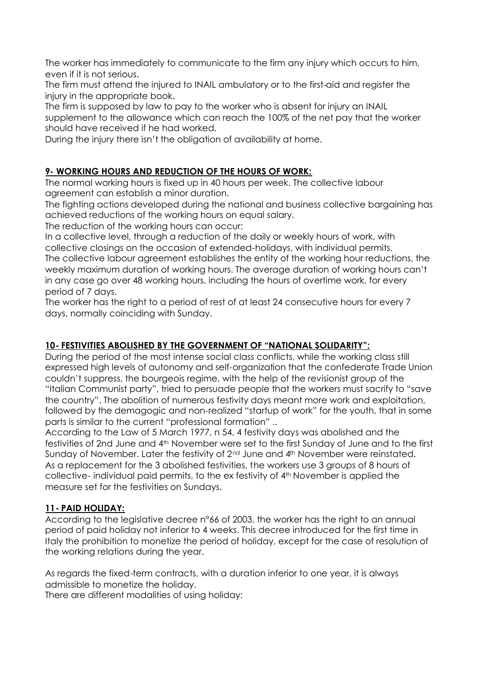The worker has immediately to communicate to the firm any injury which occurs to him, even if it is not serious.

The firm must attend the injured to INAIL ambulatory or to the first-aid and register the injury in the appropriate book.

The firm is supposed by law to pay to the worker who is absent for injury an INAIL supplement to the allowance which can reach the 100% of the net pay that the worker should have received if he had worked.

During the injury there isn't the obligation of availability at home.

# **9- WORKING HOURS AND REDUCTION OF THE HOURS OF WORK:**

The normal working hours is fixed up in 40 hours per week. The collective labour agreement can establish a minor duration.

The fighting actions developed during the national and business collective bargaining has achieved reductions of the working hours on equal salary.

The reduction of the working hours can occur:

In a collective level, through a reduction of the daily or weekly hours of work, with collective closings on the occasion of extended-holidays, with individual permits. The collective labour agreement establishes the entity of the working hour reductions, the weekly maximum duration of working hours. The average duration of working hours can't in any case go over 48 working hours, including the hours of overtime work, for every period of 7 days.

The worker has the right to a period of rest of at least 24 consecutive hours for every 7 days, normally coinciding with Sunday.

## **10- FESTIVITIES ABOLISHED BY THE GOVERNMENT OF "NATIONAL SOLIDARITY":**

During the period of the most intense social class conflicts, while the working class still expressed high levels of autonomy and self-organization that the confederate Trade Union couldn't suppress, the bourgeois regime, with the help of the revisionist group of the "Italian Communist party", tried to persuade people that the workers must sacrify to "save the country". The abolition of numerous festivity days meant more work and exploitation, followed by the demagogic and non-realized "startup of work" for the youth, that in some parts is similar to the current "professional formation" ..

According to the Law of 5 March 1977, n 54, 4 festivity days was abolished and the festivities of 2nd June and 4th November were set to the first Sunday of June and to the first Sunday of November. Later the festivity of 2<sup>nd</sup> June and 4<sup>th</sup> November were reinstated. As a replacement for the 3 abolished festivities, the workers use 3 groups of 8 hours of collective- individual paid permits, to the ex festivity of 4<sup>th</sup> November is applied the measure set for the festivities on Sundays.

## **11- PAID HOLIDAY:**

According to the legislative decree n°66 of 2003, the worker has the right to an annual period of paid holiday not inferior to 4 weeks. This decree introduced for the first time in Italy the prohibition to monetize the period of holiday, except for the case of resolution of the working relations during the year.

As regards the fixed-term contracts, with a duration inferior to one year, it is always admissible to monetize the holiday.

There are different modalities of using holiday: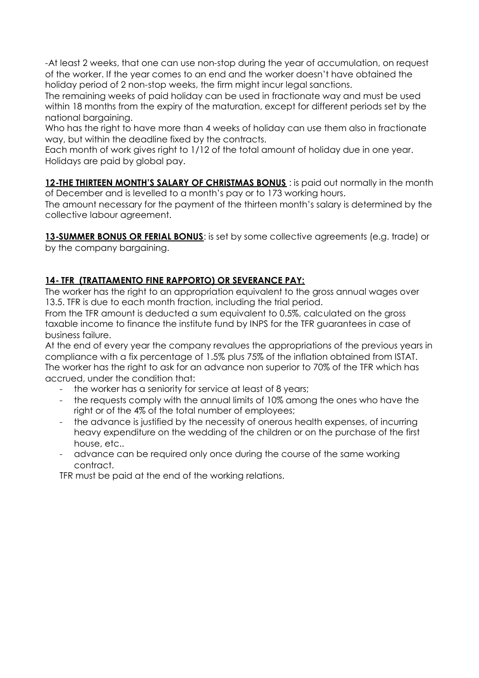-At least 2 weeks, that one can use non-stop during the year of accumulation, on request of the worker. If the year comes to an end and the worker doesn't have obtained the holiday period of 2 non-stop weeks, the firm might incur legal sanctions.

The remaining weeks of paid holiday can be used in fractionate way and must be used within 18 months from the expiry of the maturation, except for different periods set by the national bargaining.

Who has the right to have more than 4 weeks of holiday can use them also in fractionate way, but within the deadline fixed by the contracts.

Each month of work gives right to 1/12 of the total amount of holiday due in one year. Holidays are paid by global pay.

12-**THE THIRTEEN MONTH'S SALARY OF CHRISTMAS BONUS**: is paid out normally in the month of December and is levelled to a month's pay or to 173 working hours.

The amount necessary for the payment of the thirteen month's salary is determined by the collective labour agreement.

**13-SUMMER BONUS OR FERIAL BONUS**: is set by some collective agreements (e.g. trade) or by the company bargaining.

# **14- TFR (TRATTAMENTO FINE RAPPORTO) OR SEVERANCE PAY:**

The worker has the right to an appropriation equivalent to the gross annual wages over 13.5. TFR is due to each month fraction, including the trial period.

From the TFR amount is deducted a sum equivalent to 0.5%, calculated on the gross taxable income to finance the institute fund by INPS for the TFR guarantees in case of business failure.

At the end of every year the company revalues the appropriations of the previous years in compliance with a fix percentage of 1.5% plus 75% of the inflation obtained from ISTAT. The worker has the right to ask for an advance non superior to 70% of the TFR which has accrued, under the condition that:

- the worker has a seniority for service at least of 8 years;
- the requests comply with the annual limits of 10% among the ones who have the right or of the 4% of the total number of employees;
- the advance is justified by the necessity of onerous health expenses, of incurring heavy expenditure on the wedding of the children or on the purchase of the first house, etc..
- advance can be required only once during the course of the same working contract.

TFR must be paid at the end of the working relations.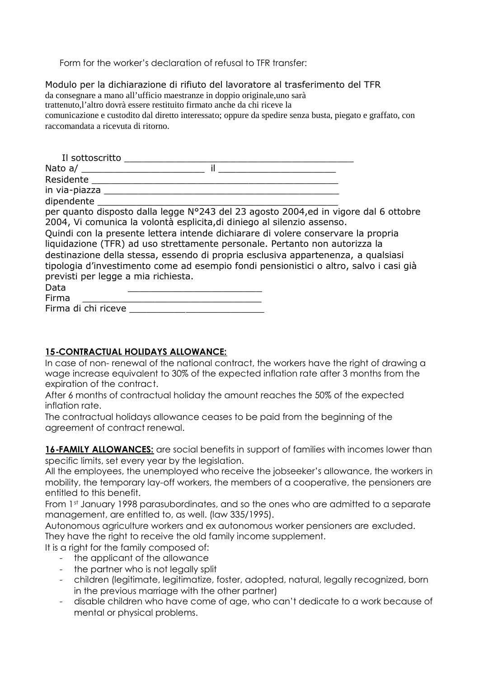Form for the worker's declaration of refusal to TFR transfer:

Modulo per la dichiarazione di rifiuto del lavoratore al trasferimento del TFR da consegnare a mano all'ufficio maestranze in doppio originale,uno sarà trattenuto,l'altro dovrà essere restituito firmato anche da chi riceve la comunicazione e custodito dal diretto interessato; oppure da spedire senza busta, piegato e graffato, con raccomandata a ricevuta di ritorno.

| Il sottoscritto                                                                                                                                                                                                    |  |
|--------------------------------------------------------------------------------------------------------------------------------------------------------------------------------------------------------------------|--|
| il<br>Nato a/                                                                                                                                                                                                      |  |
| Residente                                                                                                                                                                                                          |  |
|                                                                                                                                                                                                                    |  |
| dipendente                                                                                                                                                                                                         |  |
| per quanto disposto dalla legge N°243 del 23 agosto 2004,ed in vigore dal 6 ottobre<br>2004, Vi comunica la volontà esplicita, di diniego al silenzio assenso.                                                     |  |
| Quindi con la presente lettera intende dichiarare di volere conservare la propria<br>liquidazione (TFR) ad uso strettamente personale. Pertanto non autorizza la                                                   |  |
| destinazione della stessa, essendo di propria esclusiva appartenenza, a qualsiasi<br>tipologia d'investimento come ad esempio fondi pensionistici o altro, salvo i casi già<br>previsti per legge a mia richiesta. |  |
| Data                                                                                                                                                                                                               |  |
| Firma                                                                                                                                                                                                              |  |
| Firma di chi riceve                                                                                                                                                                                                |  |

#### **15-CONTRACTUAL HOLIDAYS ALLOWANCE:**

In case of non- renewal of the national contract, the workers have the right of drawing a wage increase equivalent to 30% of the expected inflation rate after 3 months from the expiration of the contract.

After 6 months of contractual holiday the amount reaches the 50% of the expected inflation rate.

The contractual holidays allowance ceases to be paid from the beginning of the agreement of contract renewal.

16-FAMILY ALLOWANCES: are social benefits in support of families with incomes lower than specific limits, set every year by the legislation.

All the employees, the unemployed who receive the jobseeker's allowance, the workers in mobility, the temporary lay-off workers, the members of a cooperative, the pensioners are entitled to this benefit.

From 1st January 1998 parasubordinates, and so the ones who are admitted to a separate management, are entitled to, as well. (law 335/1995).

Autonomous agriculture workers and ex autonomous worker pensioners are excluded. They have the right to receive the old family income supplement.

It is a right for the family composed of:

- the applicant of the allowance
- the partner who is not legally split
- children (legitimate, legitimatize, foster, adopted, natural, legally recognized, born in the previous marriage with the other partner)
- disable children who have come of age, who can't dedicate to a work because of mental or physical problems.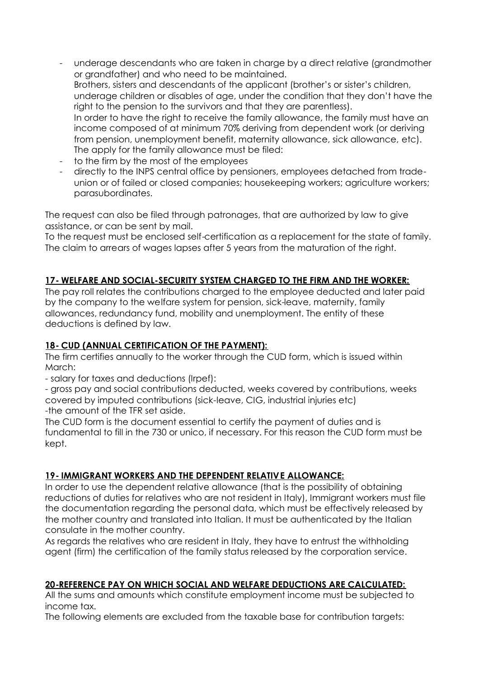- underage descendants who are taken in charge by a direct relative (grandmother or grandfather) and who need to be maintained. Brothers, sisters and descendants of the applicant (brother's or sister's children, underage children or disables of age, under the condition that they don't have the right to the pension to the survivors and that they are parentless). In order to have the right to receive the family allowance, the family must have an income composed of at minimum 70% deriving from dependent work (or deriving from pension, unemployment benefit, maternity allowance, sick allowance, etc). The apply for the family allowance must be filed:
- to the firm by the most of the employees
- directly to the INPS central office by pensioners, employees detached from tradeunion or of failed or closed companies; housekeeping workers; agriculture workers; parasubordinates.

The request can also be filed through patronages, that are authorized by law to give assistance, or can be sent by mail.

To the request must be enclosed self-certification as a replacement for the state of family. The claim to arrears of wages lapses after 5 years from the maturation of the right.

#### **17- WELFARE AND SOCIAL-SECURITY SYSTEM CHARGED TO THE FIRM AND THE WORKER:**

The pay roll relates the contributions charged to the employee deducted and later paid by the company to the welfare system for pension, sick-leave, maternity, family allowances, redundancy fund, mobility and unemployment. The entity of these deductions is defined by law.

#### **18- CUD (ANNUAL CERTIFICATION OF THE PAYMENT):**

The firm certifies annually to the worker through the CUD form, which is issued within March:

- salary for taxes and deductions (Irpef):

- gross pay and social contributions deducted, weeks covered by contributions, weeks covered by imputed contributions (sick-leave, CIG, industrial injuries etc) -the amount of the TFR set aside.

The CUD form is the document essential to certify the payment of duties and is fundamental to fill in the 730 or unico, if necessary. For this reason the CUD form must be kept.

#### **19- IMMIGRANT WORKERS AND THE DEPENDENT RELATIVE ALLOWANCE:**

In order to use the dependent relative allowance (that is the possibility of obtaining reductions of duties for relatives who are not resident in Italy), Immigrant workers must file the documentation regarding the personal data, which must be effectively released by the mother country and translated into Italian. It must be authenticated by the Italian consulate in the mother country.

As regards the relatives who are resident in Italy, they have to entrust the withholding agent (firm) the certification of the family status released by the corporation service.

#### **20-REFERENCE PAY ON WHICH SOCIAL AND WELFARE DEDUCTIONS ARE CALCULATED:**

All the sums and amounts which constitute employment income must be subjected to income tax.

The following elements are excluded from the taxable base for contribution targets: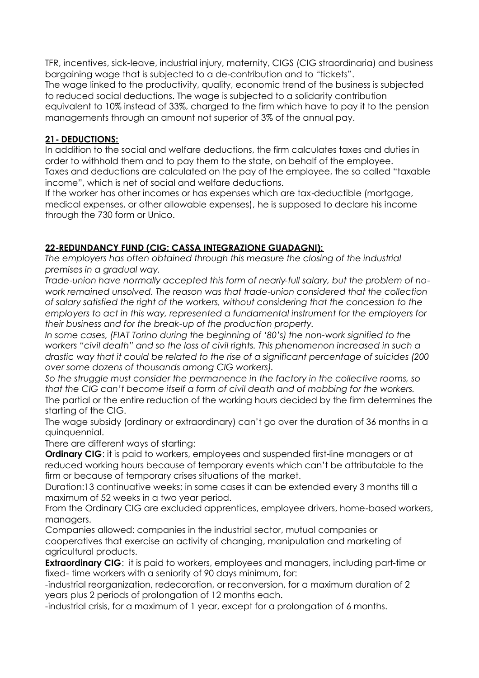TFR, incentives, sick-leave, industrial injury, maternity, CIGS (CIG straordinaria) and business bargaining wage that is subjected to a de-contribution and to "tickets". The wage linked to the productivity, quality, economic trend of the business is subjected to reduced social deductions. The wage is subjected to a solidarity contribution equivalent to 10% instead of 33%, charged to the firm which have to pay it to the pension managements through an amount not superior of 3% of the annual pay.

#### **21- DEDUCTIONS:**

In addition to the social and welfare deductions, the firm calculates taxes and duties in order to withhold them and to pay them to the state, on behalf of the employee. Taxes and deductions are calculated on the pay of the employee, the so called "taxable income", which is net of social and welfare deductions.

If the worker has other incomes or has expenses which are tax-deductible (mortgage, medical expenses, or other allowable expenses), he is supposed to declare his income through the 730 form or Unico.

## **22-REDUNDANCY FUND (CIG: CASSA INTEGRAZIONE GUADAGNI):**

*The employers has often obtained through this measure the closing of the industrial premises in a gradual way.*

*Trade-union have normally accepted this form of nearly-full salary, but the problem of nowork remained unsolved. The reason was that trade-union considered that the collection of salary satisfied the right of the workers, without considering that the concession to the employers to act in this way, represented a fundamental instrument for the employers for their business and for the break-up of the production property.*

*In some cases, (FIAT Torino during the beginning of '80's) the non-work signified to the workers "civil death" and so the loss of civil rights. This phenomenon increased in such a drastic way that it could be related to the rise of a significant percentage of suicides (200 over some dozens of thousands among CIG workers).*

*So the struggle must consider the permanence in the factory in the collective rooms, so that the CIG can't become itself a form of civil death and of mobbing for the workers.* The partial or the entire reduction of the working hours decided by the firm determines the starting of the CIG.

The wage subsidy (ordinary or extraordinary) can't go over the duration of 36 months in a quinquennial.

There are different ways of starting:

**Ordinary CIG**: it is paid to workers, employees and suspended first-line managers or at reduced working hours because of temporary events which can't be attributable to the firm or because of temporary crises situations of the market.

Duration:13 continuative weeks; in some cases it can be extended every 3 months till a maximum of 52 weeks in a two year period.

From the Ordinary CIG are excluded apprentices, employee drivers, home-based workers, managers.

Companies allowed: companies in the industrial sector, mutual companies or cooperatives that exercise an activity of changing, manipulation and marketing of agricultural products.

**Extraordinary CIG:** it is paid to workers, employees and managers, including part-time or fixed- time workers with a seniority of 90 days minimum, for:

-industrial reorganization, redecoration, or reconversion, for a maximum duration of 2 years plus 2 periods of prolongation of 12 months each.

-industrial crisis, for a maximum of 1 year, except for a prolongation of 6 months.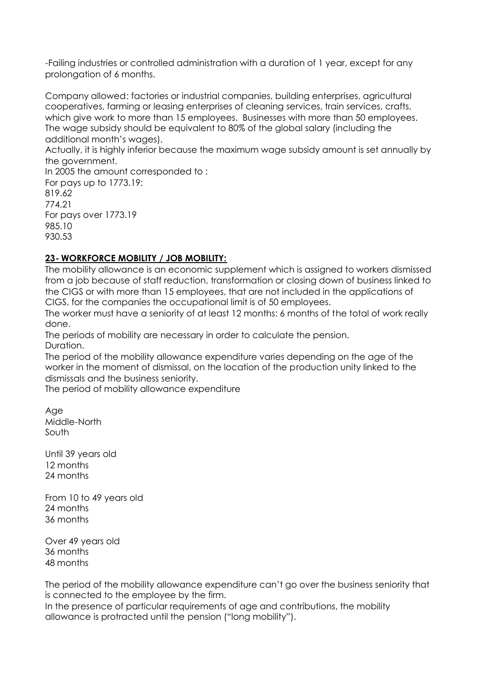-Failing industries or controlled administration with a duration of 1 year, except for any prolongation of 6 months.

Company allowed: factories or industrial companies, building enterprises, agricultural cooperatives, farming or leasing enterprises of cleaning services, train services, crafts, which give work to more than 15 employees. Businesses with more than 50 employees. The wage subsidy should be equivalent to 80% of the global salary (including the additional month's wages).

Actually, it is highly inferior because the maximum wage subsidy amount is set annually by the government.

In 2005 the amount corresponded to : For pays up to 1773.19: 819.62 774,21 For pays over 1773.19 985.10 930.53

## **23- WORKFORCE MOBILITY / JOB MOBILITY:**

The mobility allowance is an economic supplement which is assigned to workers dismissed from a job because of staff reduction, transformation or closing down of business linked to the CIGS or with more than 15 employees, that are not included in the applications of CIGS, for the companies the occupational limit is of 50 employees.

The worker must have a seniority of at least 12 months: 6 months of the total of work really done.

The periods of mobility are necessary in order to calculate the pension. Duration.

The period of the mobility allowance expenditure varies depending on the age of the worker in the moment of dismissal, on the location of the production unity linked to the dismissals and the business seniority.

The period of mobility allowance expenditure

Age Middle-North South

Until 39 years old 12 months 24 months

From 10 to 49 years old 24 months 36 months

Over 49 years old 36 months 48 months

The period of the mobility allowance expenditure can't go over the business seniority that is connected to the employee by the firm.

In the presence of particular requirements of age and contributions, the mobility allowance is protracted until the pension ("long mobility").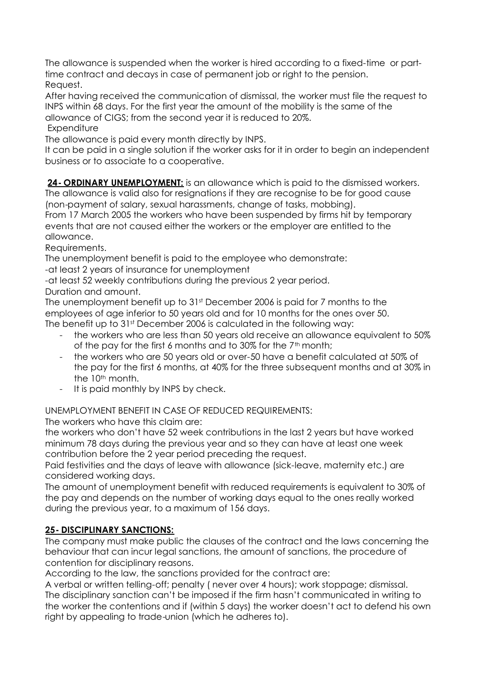The allowance is suspended when the worker is hired according to a fixed-time or parttime contract and decays in case of permanent job or right to the pension. Request.

After having received the communication of dismissal, the worker must file the request to INPS within 68 days. For the first year the amount of the mobility is the same of the allowance of CIGS; from the second year it is reduced to 20%. **Expenditure** 

The allowance is paid every month directly by INPS.

It can be paid in a single solution if the worker asks for it in order to begin an independent business or to associate to a cooperative.

**24- ORDINARY UNEMPLOYMENT:** is an allowance which is paid to the dismissed workers. The allowance is valid also for resignations if they are recognise to be for good cause (non-payment of salary, sexual harassments, change of tasks, mobbing).

From 17 March 2005 the workers who have been suspended by firms hit by temporary events that are not caused either the workers or the employer are entitled to the allowance.

Requirements.

The unemployment benefit is paid to the employee who demonstrate:

-at least 2 years of insurance for unemployment

-at least 52 weekly contributions during the previous 2 year period.

Duration and amount.

The unemployment benefit up to 31st December 2006 is paid for 7 months to the employees of age inferior to 50 years old and for 10 months for the ones over 50. The benefit up to 31<sup>st</sup> December 2006 is calculated in the following way:

- the workers who are less than 50 years old receive an allowance equivalent to 50% of the pay for the first 6 months and to 30% for the  $7<sup>th</sup>$  month;
- the workers who are 50 years old or over-50 have a benefit calculated at 50% of the pay for the first 6 months, at 40% for the three subsequent months and at 30% in the 10<sup>th</sup> month.
- It is paid monthly by INPS by check.

UNEMPLOYMENT BENEFIT IN CASE OF REDUCED REQUIREMENTS:

The workers who have this claim are:

the workers who don't have 52 week contributions in the last 2 years but have worked minimum 78 days during the previous year and so they can have at least one week contribution before the 2 year period preceding the request.

Paid festivities and the days of leave with allowance (sick-leave, maternity etc.) are considered working days.

The amount of unemployment benefit with reduced requirements is equivalent to 30% of the pay and depends on the number of working days equal to the ones really worked during the previous year, to a maximum of 156 days.

## **25- DISCIPLINARY SANCTIONS:**

The company must make public the clauses of the contract and the laws concerning the behaviour that can incur legal sanctions, the amount of sanctions, the procedure of contention for disciplinary reasons.

According to the law, the sanctions provided for the contract are:

A verbal or written telling-off; penalty ( never over 4 hours); work stoppage; dismissal. The disciplinary sanction can't be imposed if the firm hasn't communicated in writing to the worker the contentions and if (within 5 days) the worker doesn't act to defend his own right by appealing to trade-union (which he adheres to).